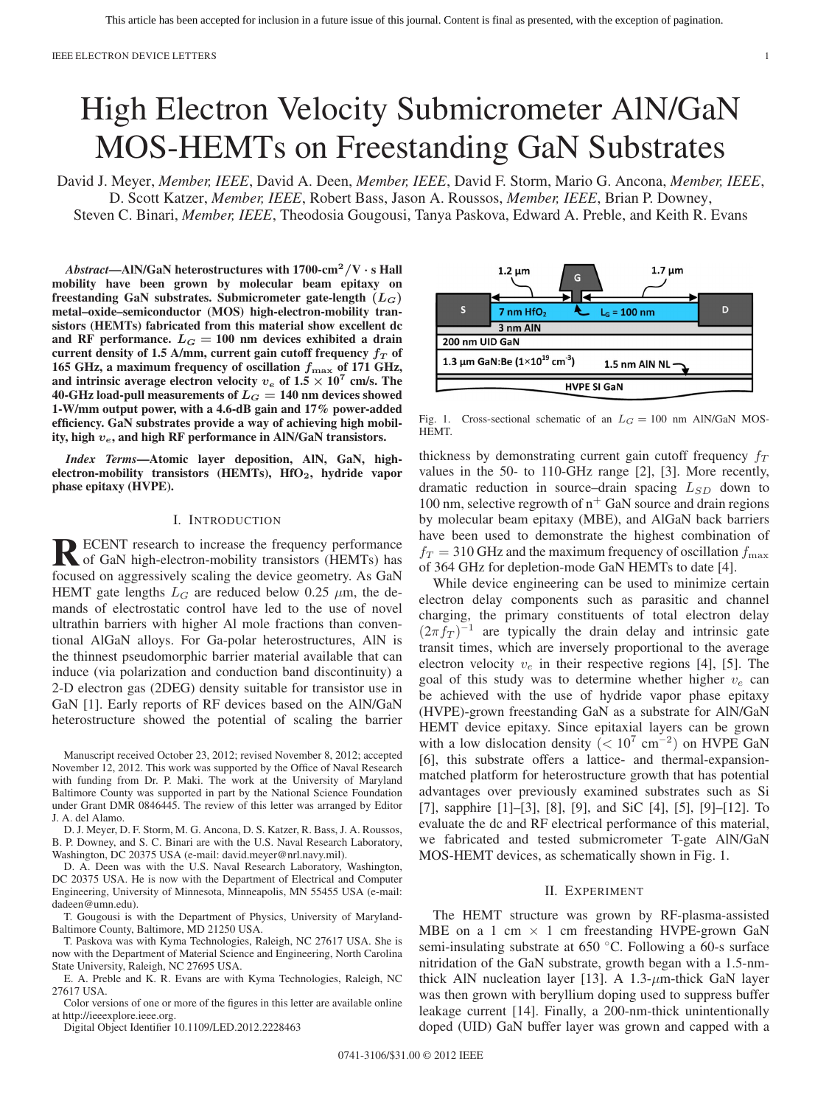# High Electron Velocity Submicrometer AlN/GaN MOS-HEMTs on Freestanding GaN Substrates

David J. Meyer, *Member, IEEE*, David A. Deen, *Member, IEEE*, David F. Storm, Mario G. Ancona, *Member, IEEE*, D. Scott Katzer, *Member, IEEE*, Robert Bass, Jason A. Roussos, *Member, IEEE*, Brian P. Downey, Steven C. Binari, *Member, IEEE*, Theodosia Gougousi, Tanya Paskova, Edward A. Preble, and Keith R. Evans

*Abstract***—AlN/GaN heterostructures with 1700-cm<sup>2</sup>***/***V** *·* **s Hall mobility have been grown by molecular beam epitaxy on freestanding GaN substrates. Submicrometer gate-length (***LG***) metal–oxide–semiconductor (MOS) high-electron-mobility transistors (HEMTs) fabricated from this material show excellent dc** and RF performance.  $L_G = 100$  nm devices exhibited a drain current density of 1.5 A/mm, current gain cutoff frequency  $f_T$  of **165 GHz, a maximum frequency of oscillation** *f***max of 171 GHz,** and intrinsic average electron velocity  $v_e$  of  $1.5 \times 10^7$  cm/s. The **40-GHz load-pull measurements of** *L<sup>G</sup>* **= 140 nm devices showed 1-W/mm output power, with a 4.6-dB gain and 17% power-added efficiency. GaN substrates provide a way of achieving high mobility, high** *ve***, and high RF performance in AlN/GaN transistors.**

*Index Terms***—Atomic layer deposition, AlN, GaN, highelectron-mobility transistors (HEMTs), HfO2, hydride vapor phase epitaxy (HVPE).**

## I. INTRODUCTION

**RECENT** research to increase the frequency performance<br>of GaN high-electron-mobility transistors (HEMTs) has focused on aggressively scaling the device geometry. As GaN HEMT gate lengths  $L_G$  are reduced below 0.25  $\mu$ m, the demands of electrostatic control have led to the use of novel ultrathin barriers with higher Al mole fractions than conventional AlGaN alloys. For Ga-polar heterostructures, AlN is the thinnest pseudomorphic barrier material available that can induce (via polarization and conduction band discontinuity) a 2-D electron gas (2DEG) density suitable for transistor use in GaN [1]. Early reports of RF devices based on the AlN/GaN heterostructure showed the potential of scaling the barrier

Manuscript received October 23, 2012; revised November 8, 2012; accepted November 12, 2012. This work was supported by the Office of Naval Research with funding from Dr. P. Maki. The work at the University of Maryland Baltimore County was supported in part by the National Science Foundation under Grant DMR 0846445. The review of this letter was arranged by Editor J. A. del Alamo.

D. J. Meyer, D. F. Storm, M. G. Ancona, D. S. Katzer, R. Bass, J. A. Roussos, B. P. Downey, and S. C. Binari are with the U.S. Naval Research Laboratory, Washington, DC 20375 USA (e-mail: [david.meyer@nrl.navy.mil\).](mailto: david.meyer@nrl.navy.mil)

D. A. Deen was with the U.S. Naval Research Laboratory, Washington, DC 20375 USA. He is now with the Department of Electrical and Computer Engineering, University of Minnesota, Minneapolis, MN 55455 USA (e-mail: [dadeen@umn.edu\).](mailto: dadeen@umn.edu)

T. Gougousi is with the Department of Physics, University of Maryland-Baltimore County, Baltimore, MD 21250 USA.

T. Paskova was with Kyma Technologies, Raleigh, NC 27617 USA. She is now with the Department of Material Science and Engineering, North Carolina State University, Raleigh, NC 27695 USA.

E. A. Preble and K. R. Evans are with Kyma Technologies, Raleigh, NC 27617 USA.

Color versions of one or more of the figures in this letter are available online at http://ieeexplore.ieee.org.

Digital Object Identifier 10.1109/LED.2012.2228463



Fig. 1. Cross-sectional schematic of an  $L_G = 100$  nm AlN/GaN MOS-HEMT.

thickness by demonstrating current gain cutoff frequency  $f<sub>T</sub>$ values in the 50- to 110-GHz range [2], [3]. More recently, dramatic reduction in source–drain spacing  $L_{SD}$  down to 100 nm, selective regrowth of  $n^+$  GaN source and drain regions by molecular beam epitaxy (MBE), and AlGaN back barriers have been used to demonstrate the highest combination of  $f_T = 310$  GHz and the maximum frequency of oscillation  $f_{\text{max}}$ of 364 GHz for depletion-mode GaN HEMTs to date [4].

While device engineering can be used to minimize certain electron delay components such as parasitic and channel charging, the primary constituents of total electron delay  $(2\pi f_T)^{-1}$  are typically the drain delay and intrinsic gate transit times, which are inversely proportional to the average electron velocity  $v_e$  in their respective regions [4], [5]. The goal of this study was to determine whether higher  $v_e$  can be achieved with the use of hydride vapor phase epitaxy (HVPE)-grown freestanding GaN as a substrate for AlN/GaN HEMT device epitaxy. Since epitaxial layers can be grown with a low dislocation density ( $< 10^7$  cm<sup>-2</sup>) on HVPE GaN [6], this substrate offers a lattice- and thermal-expansionmatched platform for heterostructure growth that has potential advantages over previously examined substrates such as Si [7], sapphire [1]–[3], [8], [9], and SiC [4], [5], [9]–[12]. To evaluate the dc and RF electrical performance of this material, we fabricated and tested submicrometer T-gate AlN/GaN MOS-HEMT devices, as schematically shown in Fig. 1.

#### II. EXPERIMENT

The HEMT structure was grown by RF-plasma-assisted MBE on a 1 cm  $\times$  1 cm freestanding HVPE-grown GaN semi-insulating substrate at 650 ◦C. Following a 60-s surface nitridation of the GaN substrate, growth began with a 1.5-nmthick AlN nucleation layer [13]. A  $1.3$ - $\mu$ m-thick GaN layer was then grown with beryllium doping used to suppress buffer leakage current [14]. Finally, a 200-nm-thick unintentionally doped (UID) GaN buffer layer was grown and capped with a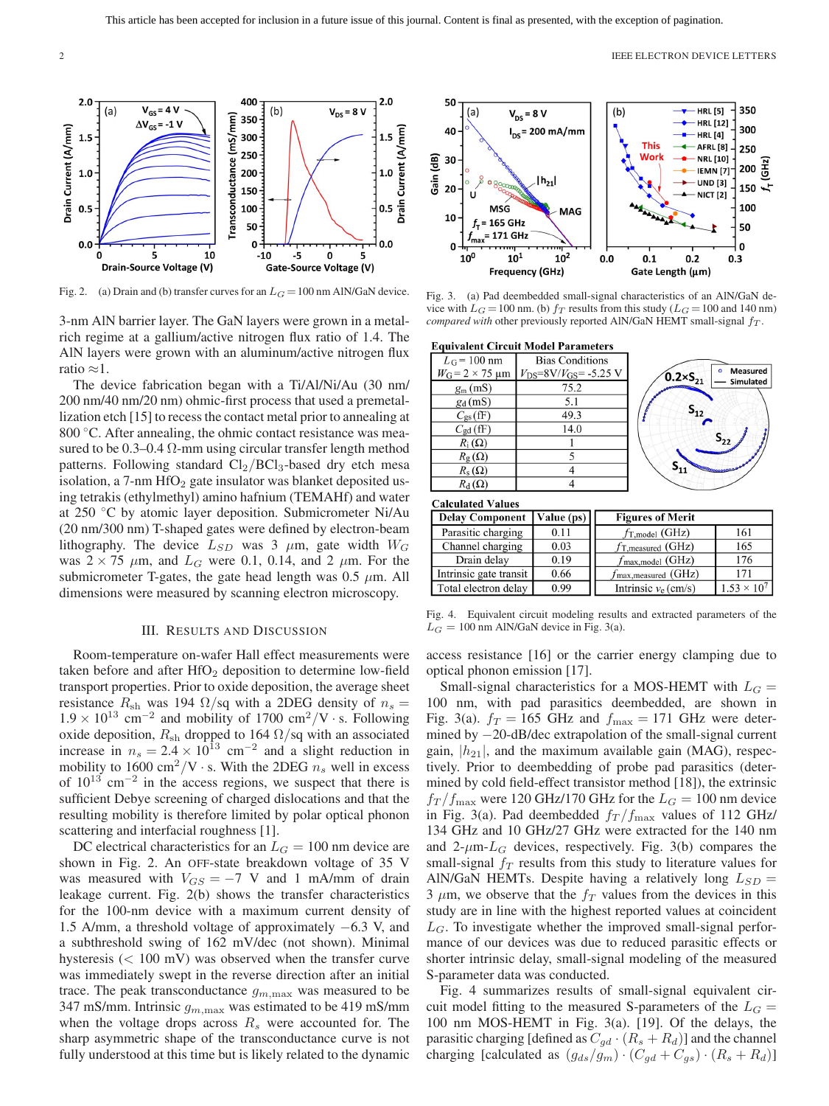

Fig. 2. (a) Drain and (b) transfer curves for an  $L_G = 100$  nm AlN/GaN device.

3-nm AlN barrier layer. The GaN layers were grown in a metalrich regime at a gallium/active nitrogen flux ratio of 1.4. The AlN layers were grown with an aluminum/active nitrogen flux ratio ≈1.

The device fabrication began with a Ti/Al/Ni/Au (30 nm/ 200 nm/40 nm/20 nm) ohmic-first process that used a premetallization etch [15] to recess the contact metal prior to annealing at 800 °C. After annealing, the ohmic contact resistance was measured to be  $0.3-0.4$   $\Omega$ -mm using circular transfer length method patterns. Following standard  $Cl_2/BCl_3$ -based dry etch mesa isolation, a  $7$ -nm  $HfO<sub>2</sub>$  gate insulator was blanket deposited using tetrakis (ethylmethyl) amino hafnium (TEMAHf) and water at 250 ◦C by atomic layer deposition. Submicrometer Ni/Au (20 nm/300 nm) T-shaped gates were defined by electron-beam lithography. The device  $L_{SD}$  was 3  $\mu$ m, gate width  $W_G$ was  $2 \times 75$   $\mu$ m, and  $L_G$  were 0.1, 0.14, and 2  $\mu$ m. For the submicrometer T-gates, the gate head length was  $0.5 \mu m$ . All dimensions were measured by scanning electron microscopy.

### III. RESULTS AND DISCUSSION

Room-temperature on-wafer Hall effect measurements were taken before and after  $HfO<sub>2</sub>$  deposition to determine low-field transport properties. Prior to oxide deposition, the average sheet resistance  $R_{\rm sh}$  was 194  $\Omega$ /sq with a 2DEG density of  $n_s =$ 1.9  $\times$  10<sup>13</sup> cm<sup>-2</sup> and mobility of 1700 cm<sup>2</sup>/V · s. Following oxide deposition,  $R_{\rm sh}$  dropped to 164  $\Omega$ /sq with an associated increase in  $n_s = 2.4 \times 10^{13}$  cm<sup>-2</sup> and a slight reduction in mobility to  $1600 \text{ cm}^2/\text{V} \cdot \text{s}$ . With the 2DEG  $n_s$  well in excess of  $10^{13}$  cm<sup>-2</sup> in the access regions, we suspect that there is sufficient Debye screening of charged dislocations and that the resulting mobility is therefore limited by polar optical phonon scattering and interfacial roughness [1].

DC electrical characteristics for an  $L_G = 100$  nm device are shown in Fig. 2. An OFF-state breakdown voltage of 35 V was measured with  $V_{GS} = -7$  V and 1 mA/mm of drain leakage current. Fig. 2(b) shows the transfer characteristics for the 100-nm device with a maximum current density of 1.5 A/mm, a threshold voltage of approximately −6.3 V, and a subthreshold swing of 162 mV/dec (not shown). Minimal hysteresis (< 100 mV) was observed when the transfer curve was immediately swept in the reverse direction after an initial trace. The peak transconductance  $g_{m,\text{max}}$  was measured to be 347 mS/mm. Intrinsic  $g_{m,\text{max}}$  was estimated to be 419 mS/mm when the voltage drops across  $R<sub>s</sub>$  were accounted for. The sharp asymmetric shape of the transconductance curve is not fully understood at this time but is likely related to the dynamic



Fig. 3. (a) Pad deembedded small-signal characteristics of an AlN/GaN device with  $L_G = 100$  nm. (b)  $f_T$  results from this study ( $L_G = 100$  and 140 nm) *compared with* other previously reported AlN/GaN HEMT small-signal  $f_T$ .

**Equivalent Circuit Model Parameters** 

| $L_G$ = 100 nm                 | <b>Bias Conditions</b>         |  |  |
|--------------------------------|--------------------------------|--|--|
| $W_G = 2 \times 75 \text{ µm}$ | $V_{DS} = 8V/V_{GS} = -5.25 V$ |  |  |
| $g_{\rm m}$ (mS)               | 75.2                           |  |  |
| $g_d$ (mS)                     | 5.1                            |  |  |
| $C_{gs}(fF)$                   | 49.3                           |  |  |
| $C_{gd}$ (fF)                  | 14.0                           |  |  |
| $R_i(\Omega)$                  |                                |  |  |
| $R_{\rm g}(\Omega)$            |                                |  |  |
| $R_{\rm s}(\Omega)$            |                                |  |  |
| $R_{\rm d}(\Omega)$            |                                |  |  |



**Calculated Values** 

| <b>Delay Component</b> | Value $(ps)$ | <b>Figures of Merit</b>         |                      |  |
|------------------------|--------------|---------------------------------|----------------------|--|
| Parasitic charging     | 0.11         | $f_{T, model}$ (GHz)            | 161                  |  |
| Channel charging       | 0.03         | $f_{\text{T,measured}}$ (GHz)   | 165                  |  |
| Drain delay            | 0.19         | $f_{\text{max,model}}$ (GHz)    | 176                  |  |
| Intrinsic gate transit | 0.66         | $f_{\text{max,measured}}$ (GHz) | 171                  |  |
| Total electron delay   | 0.99         | Intrinsic $v_e$ (cm/s)          | $1.53 \times 10^{7}$ |  |

Fig. 4. Equivalent circuit modeling results and extracted parameters of the  $L_G = 100$  nm AlN/GaN device in Fig. 3(a).

access resistance [16] or the carrier energy clamping due to optical phonon emission [17].

Small-signal characteristics for a MOS-HEMT with  $L_G =$ 100 nm, with pad parasitics deembedded, are shown in Fig. 3(a).  $f_T = 165$  GHz and  $f_{\text{max}} = 171$  GHz were determined by −20-dB/dec extrapolation of the small-signal current gain,  $|h_{21}|$ , and the maximum available gain (MAG), respectively. Prior to deembedding of probe pad parasitics (determined by cold field-effect transistor method [18]), the extrinsic  $f_T/f_{\text{max}}$  were 120 GHz/170 GHz for the  $L_G = 100$  nm device in Fig. 3(a). Pad deembedded  $f_T/f_{\text{max}}$  values of 112 GHz/ 134 GHz and 10 GHz/27 GHz were extracted for the 140 nm and 2- $\mu$ m- $L_G$  devices, respectively. Fig. 3(b) compares the small-signal  $f_T$  results from this study to literature values for AlN/GaN HEMTs. Despite having a relatively long  $L_{SD}$  = 3  $\mu$ m, we observe that the  $f_T$  values from the devices in this study are in line with the highest reported values at coincident  $L_G$ . To investigate whether the improved small-signal performance of our devices was due to reduced parasitic effects or shorter intrinsic delay, small-signal modeling of the measured S-parameter data was conducted.

Fig. 4 summarizes results of small-signal equivalent circuit model fitting to the measured S-parameters of the  $L_G$  = 100 nm MOS-HEMT in Fig. 3(a). [19]. Of the delays, the parasitic charging [defined as  $C_{gd} \cdot (R_s + R_d)$ ] and the channel charging [calculated as  $(g_{ds}/g_m) \cdot (C_{gd} + C_{gs}) \cdot (R_s + R_d)$ ]